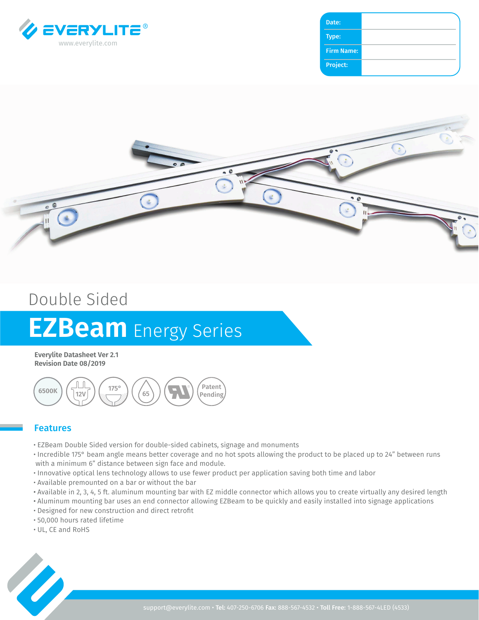

| Date:             |  |
|-------------------|--|
|                   |  |
| Type:             |  |
| <b>Firm Name:</b> |  |
|                   |  |
| Project:          |  |
|                   |  |



## Double Sided

# **EZBeam** Energy Series

**Everylite Datasheet Ver 2.1 Revision Date 08/2019**



#### Features

- EZBeam Double Sided version for double-sided cabinets, signage and monuments
- Incredible 175° beam angle means better coverage and no hot spots allowing the product to be placed up to 24" between runs with a minimum 6" distance between sign face and module.
- Innovative optical lens technology allows to use fewer product per application saving both time and labor
- Available premounted on a bar or without the bar
- Available in 2, 3, 4, 5 ft. aluminum mounting bar with EZ middle connector which allows you to create virtually any desired length
- Aluminum mounting bar uses an end connector allowing EZBeam to be quickly and easily installed into signage applications
- Designed for new construction and direct retrofit
- 50,000 hours rated lifetime
- UL, CE and RoHS